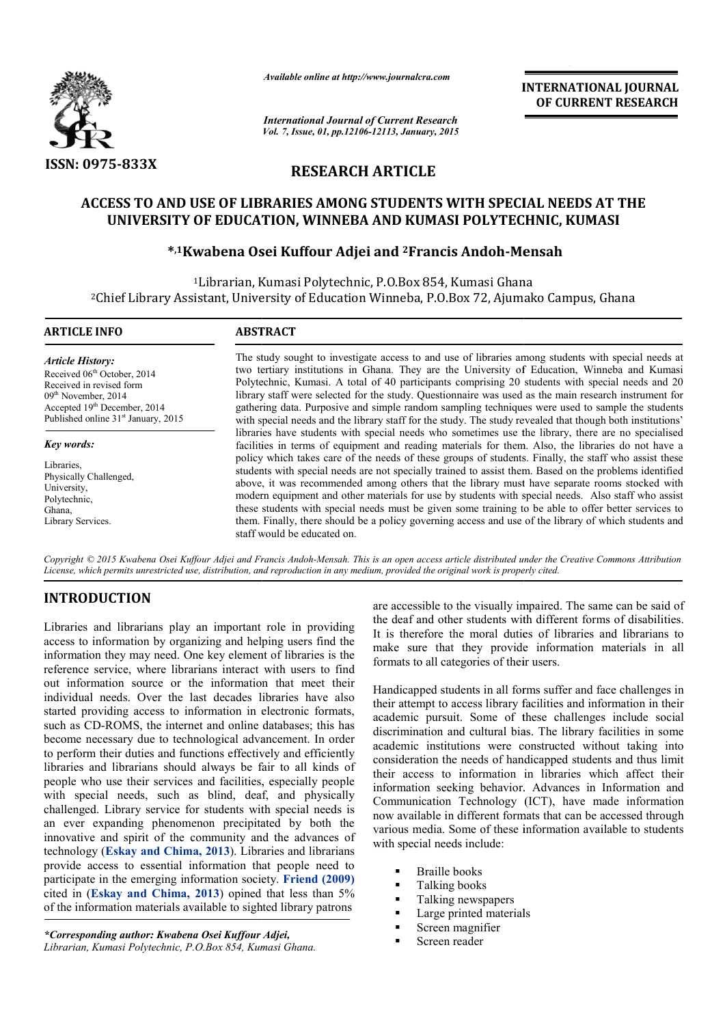

*Available online at http://www.journalcra.com*

# **RESEARCH ARTICLE**

# **ACCESS TO AND USE OF LIBRARIES AMONG STUDENTS WITH SPECIAL NEEDS AT THE UNIVERSITY OF EDUCATION, WINNEBA AND KUMASI POLYTECHNIC, KUMASI JSE OF LIBRARIES AMONG STUDENTS WITH SPECIAL NI<br>OF EDUCATION, WINNEBA AND KUMASI POLYTECHNIC,<br>wabena Osei Kuffour Adjei and <sup>2</sup>Francis Andoh-Mensah**

# **\*,1Kwabena Osei Kuffour Kwabena Adjei and 2Francis Andoh-Mensah**

|                                                                                                                                                                                                                                                                                                                                                                                                                                                                                                                                                                                                                                                                                                                                                                                                                                                                                                                                                                                                                         |                                                                                                                                                                                   | unuvic viime ui nup.//www.jvurnuicru.com  | <b>INTERNATIONAL JOURNAL</b><br>OF CURRENT RESEARCH                                                                                                                                                                                                                                                                                                                                                                                                                                                                                                                                                                                                                                                                                                                                                                                                                                                                                                                                                                                                                                                                                                                                                                                                                                                                                                                                                                                                                                                                                                                                                                                                 |
|-------------------------------------------------------------------------------------------------------------------------------------------------------------------------------------------------------------------------------------------------------------------------------------------------------------------------------------------------------------------------------------------------------------------------------------------------------------------------------------------------------------------------------------------------------------------------------------------------------------------------------------------------------------------------------------------------------------------------------------------------------------------------------------------------------------------------------------------------------------------------------------------------------------------------------------------------------------------------------------------------------------------------|-----------------------------------------------------------------------------------------------------------------------------------------------------------------------------------|-------------------------------------------|-----------------------------------------------------------------------------------------------------------------------------------------------------------------------------------------------------------------------------------------------------------------------------------------------------------------------------------------------------------------------------------------------------------------------------------------------------------------------------------------------------------------------------------------------------------------------------------------------------------------------------------------------------------------------------------------------------------------------------------------------------------------------------------------------------------------------------------------------------------------------------------------------------------------------------------------------------------------------------------------------------------------------------------------------------------------------------------------------------------------------------------------------------------------------------------------------------------------------------------------------------------------------------------------------------------------------------------------------------------------------------------------------------------------------------------------------------------------------------------------------------------------------------------------------------------------------------------------------------------------------------------------------------|
|                                                                                                                                                                                                                                                                                                                                                                                                                                                                                                                                                                                                                                                                                                                                                                                                                                                                                                                                                                                                                         | <b>International Journal of Current Research</b><br>Vol. 7, Issue, 01, pp.12106-12113, January, 2015                                                                              |                                           |                                                                                                                                                                                                                                                                                                                                                                                                                                                                                                                                                                                                                                                                                                                                                                                                                                                                                                                                                                                                                                                                                                                                                                                                                                                                                                                                                                                                                                                                                                                                                                                                                                                     |
| ISSN: 0975-833X                                                                                                                                                                                                                                                                                                                                                                                                                                                                                                                                                                                                                                                                                                                                                                                                                                                                                                                                                                                                         | <b>RESEARCH ARTICLE</b>                                                                                                                                                           |                                           |                                                                                                                                                                                                                                                                                                                                                                                                                                                                                                                                                                                                                                                                                                                                                                                                                                                                                                                                                                                                                                                                                                                                                                                                                                                                                                                                                                                                                                                                                                                                                                                                                                                     |
|                                                                                                                                                                                                                                                                                                                                                                                                                                                                                                                                                                                                                                                                                                                                                                                                                                                                                                                                                                                                                         | UNIVERSITY OF EDUCATION, WINNEBA AND KUMASI POLYTECHNIC, KUMASI                                                                                                                   |                                           | ACCESS TO AND USE OF LIBRARIES AMONG STUDENTS WITH SPECIAL NEEDS AT THE                                                                                                                                                                                                                                                                                                                                                                                                                                                                                                                                                                                                                                                                                                                                                                                                                                                                                                                                                                                                                                                                                                                                                                                                                                                                                                                                                                                                                                                                                                                                                                             |
|                                                                                                                                                                                                                                                                                                                                                                                                                                                                                                                                                                                                                                                                                                                                                                                                                                                                                                                                                                                                                         | *,1Kwabena Osei Kuffour Adjei and <sup>2</sup> Francis Andoh-Mensah                                                                                                               |                                           |                                                                                                                                                                                                                                                                                                                                                                                                                                                                                                                                                                                                                                                                                                                                                                                                                                                                                                                                                                                                                                                                                                                                                                                                                                                                                                                                                                                                                                                                                                                                                                                                                                                     |
|                                                                                                                                                                                                                                                                                                                                                                                                                                                                                                                                                                                                                                                                                                                                                                                                                                                                                                                                                                                                                         | <sup>1</sup> Librarian, Kumasi Polytechnic, P.O.Box 854, Kumasi Ghana<br><sup>2</sup> Chief Library Assistant, University of Education Winneba, P.O.Box 72, Ajumako Campus, Ghana |                                           |                                                                                                                                                                                                                                                                                                                                                                                                                                                                                                                                                                                                                                                                                                                                                                                                                                                                                                                                                                                                                                                                                                                                                                                                                                                                                                                                                                                                                                                                                                                                                                                                                                                     |
| <b>ARTICLE INFO</b>                                                                                                                                                                                                                                                                                                                                                                                                                                                                                                                                                                                                                                                                                                                                                                                                                                                                                                                                                                                                     | <b>ABSTRACT</b>                                                                                                                                                                   |                                           |                                                                                                                                                                                                                                                                                                                                                                                                                                                                                                                                                                                                                                                                                                                                                                                                                                                                                                                                                                                                                                                                                                                                                                                                                                                                                                                                                                                                                                                                                                                                                                                                                                                     |
| <b>Article History:</b><br>Received 06th October, 2014<br>Received in revised form<br>09 <sup>th</sup> November, 2014<br>Accepted 19th December, 2014<br>Published online 31 <sup>st</sup> January, 2015<br><b>Key words:</b><br>Libraries,<br>Physically Challenged,<br>University,<br>Polytechnic,<br>Ghana,<br>Library Services.<br>License, which permits unrestricted use, distribution, and reproduction in any medium, provided the original work is properly cited.                                                                                                                                                                                                                                                                                                                                                                                                                                                                                                                                             | staff would be educated on.                                                                                                                                                       |                                           | The study sought to investigate access to and use of libraries among students with special needs at<br>two tertiary institutions in Ghana. They are the University of Education, Winneba and Kumasi<br>Polytechnic, Kumasi. A total of 40 participants comprising 20 students with special needs and 20<br>library staff were selected for the study. Questionnaire was used as the main research instrument for<br>gathering data. Purposive and simple random sampling techniques were used to sample the students<br>with special needs and the library staff for the study. The study revealed that though both institutions'<br>libraries have students with special needs who sometimes use the library, there are no specialised<br>facilities in terms of equipment and reading materials for them. Also, the libraries do not have a<br>policy which takes care of the needs of these groups of students. Finally, the staff who assist these<br>students with special needs are not specially trained to assist them. Based on the problems identified<br>above, it was recommended among others that the library must have separate rooms stocked with<br>modern equipment and other materials for use by students with special needs. Also staff who assist<br>these students with special needs must be given some training to be able to offer better services to<br>them. Finally, there should be a policy governing access and use of the library of which students and<br>Copyright © 2015 Kwabena Osei Kuffour Adjei and Francis Andoh-Mensah. This is an open access article distributed under the Creative Commons Attribution |
| <b>INTRODUCTION</b><br>Libraries and librarians play an important role in providing<br>access to information by organizing and helping users find the<br>information they may need. One key element of libraries is the<br>reference service, where librarians interact with users to find<br>out information source or the information that meet their<br>individual needs. Over the last decades libraries have also<br>started providing access to information in electronic formats,<br>such as CD-ROMS, the internet and online databases; this has<br>become necessary due to technological advancement. In order<br>to perform their duties and functions effectively and efficiently<br>libraries and librarians should always be fair to all kinds of<br>people who use their services and facilities, especially people<br>with special needs, such as blind, deaf, and physically<br>challenged. Library service for students with special needs is<br>an ever expanding phenomenon precipitated by both the |                                                                                                                                                                                   | formats to all categories of their users. | are accessible to the visually impaired. The same can be said of<br>the deaf and other students with different forms of disabilities.<br>It is therefore the moral duties of libraries and librarians to<br>make sure that they provide information materials in all<br>Handicapped students in all forms suffer and face challenges in<br>their attempt to access library facilities and information in their<br>academic pursuit. Some of these challenges include social<br>discrimination and cultural bias. The library facilities in some<br>academic institutions were constructed without taking into<br>consideration the needs of handicapped students and thus limit<br>their access to information in libraries which affect their<br>information seeking behavior. Advances in Information and<br>Communication Technology (ICT), have made information<br>now available in different formats that can be accessed through<br>various media. Some of these information available to students                                                                                                                                                                                                                                                                                                                                                                                                                                                                                                                                                                                                                                           |

# **INTRODUCTION**

Libraries and librarians play an important role in providing access to information by organizing and helping users find the information they may need. One key element of libraries is the reference service, where librarians interact with users to find out information source or the information that meet their individual needs. Over the last decades libraries have also started providing access to information in electronic formats, such as CD-ROMS, the internet and online databases; this has become necessary due to technological advancement. In order to perform their duties and functions effectively and efficiently libraries and librarians should always be fair to all kinds of people who use their services and facilities, especially people with special needs, such as blind, deaf, and physically challenged. Library service for students with special needs is an ever expanding phenomenon precipitated by both the innovative and spirit of the community and the advances of technology (**Eskay and Chima, 2013**). Libraries and librarians provide access to essential information that people need to participate in the emerging information society. **Friend (2009)** cited in (**Eskay and Chima, 2013**) opined that less than 5% of the information materials available to sighted library patrons viding access to inform<br>
D-ROMS, the internet an<br>
cessary due to technolog<br>
their duties and function<br>
d librarians should alw<br>
b use their services and<br>
ial needs, such as bl<br>
L Library service for stu<br>
xpanding phenomeno

Handicapped students in all forms suffer and face challenges in their attempt to access library facilities and information in their academic pursuit. Some of these challenges include social discrimination and cultural bias. The library facilities in some academic institutions were constructed without taking into consideration the needs of handicapped students and thus limit their access to information in libraries which affect their information seeking behavior. Advances in Information and Communication Technology (ICT), have made information now available in different formats that can be accessed through various media. Some of these information available to students with special needs include: icapped students in all forms suffer and face challenges in<br>attempt to access library facilities and information in their<br>minic pursuit. Some of these challenges include social<br>mination and cultural bias. The library facil

- **Braille books**
- Talking books
- Talking newspapers
- Large printed materials
- Screen magnifier
- Screen reader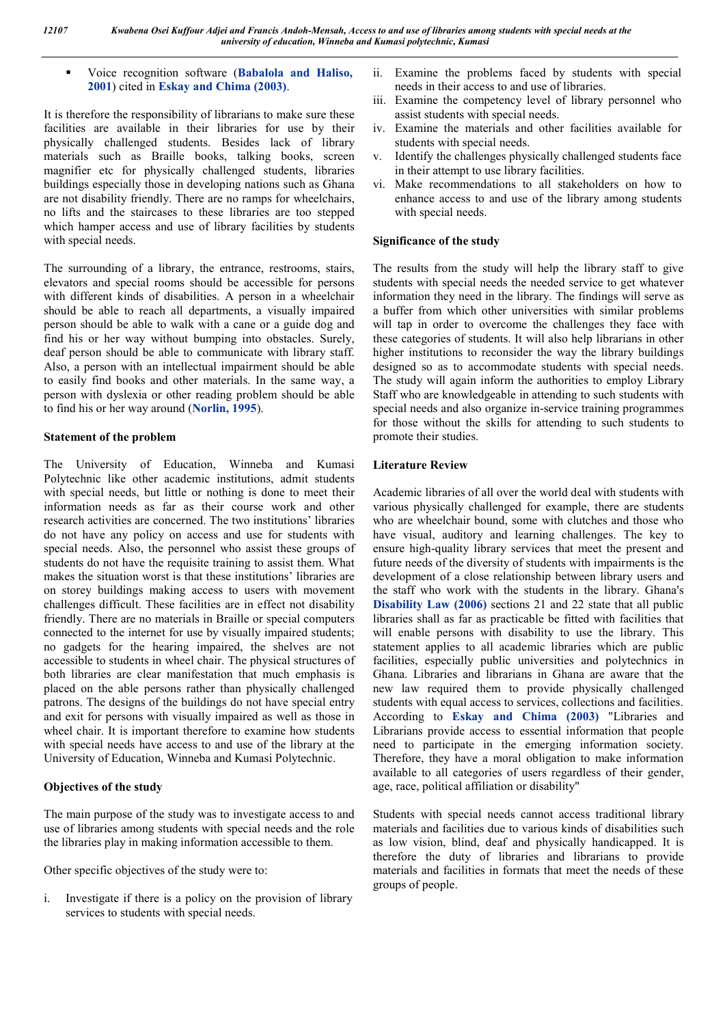# Voice recognition software (**Babalola and Haliso, 2001**) cited in **Eskay and Chima (2003)**.

It is therefore the responsibility of librarians to make sure these facilities are available in their libraries for use by their physically challenged students. Besides lack of library materials such as Braille books, talking books, screen magnifier etc for physically challenged students, libraries buildings especially those in developing nations such as Ghana are not disability friendly. There are no ramps for wheelchairs, no lifts and the staircases to these libraries are too stepped which hamper access and use of library facilities by students with special needs.

The surrounding of a library, the entrance, restrooms, stairs, elevators and special rooms should be accessible for persons with different kinds of disabilities. A person in a wheelchair should be able to reach all departments, a visually impaired person should be able to walk with a cane or a guide dog and find his or her way without bumping into obstacles. Surely, deaf person should be able to communicate with library staff. Also, a person with an intellectual impairment should be able to easily find books and other materials. In the same way, a person with dyslexia or other reading problem should be able to find his or her way around (**Norlin, 1995**).

# **Statement of the problem**

The University of Education, Winneba and Kumasi Polytechnic like other academic institutions, admit students with special needs, but little or nothing is done to meet their information needs as far as their course work and other research activities are concerned. The two institutions' libraries do not have any policy on access and use for students with special needs. Also, the personnel who assist these groups of students do not have the requisite training to assist them. What makes the situation worst is that these institutions' libraries are on storey buildings making access to users with movement challenges difficult. These facilities are in effect not disability friendly. There are no materials in Braille or special computers connected to the internet for use by visually impaired students; no gadgets for the hearing impaired, the shelves are not accessible to students in wheel chair. The physical structures of both libraries are clear manifestation that much emphasis is placed on the able persons rather than physically challenged patrons. The designs of the buildings do not have special entry and exit for persons with visually impaired as well as those in wheel chair. It is important therefore to examine how students with special needs have access to and use of the library at the University of Education, Winneba and Kumasi Polytechnic.

# **Objectives of the study**

The main purpose of the study was to investigate access to and use of libraries among students with special needs and the role the libraries play in making information accessible to them.

Other specific objectives of the study were to:

i. Investigate if there is a policy on the provision of library services to students with special needs.

- ii. Examine the problems faced by students with special needs in their access to and use of libraries.
- iii. Examine the competency level of library personnel who assist students with special needs.
- iv. Examine the materials and other facilities available for students with special needs.
- v. Identify the challenges physically challenged students face in their attempt to use library facilities.
- vi. Make recommendations to all stakeholders on how to enhance access to and use of the library among students with special needs.

# **Significance of the study**

The results from the study will help the library staff to give students with special needs the needed service to get whatever information they need in the library. The findings will serve as a buffer from which other universities with similar problems will tap in order to overcome the challenges they face with these categories of students. It will also help librarians in other higher institutions to reconsider the way the library buildings designed so as to accommodate students with special needs. The study will again inform the authorities to employ Library Staff who are knowledgeable in attending to such students with special needs and also organize in-service training programmes for those without the skills for attending to such students to promote their studies.

# **Literature Review**

Academic libraries of all over the world deal with students with various physically challenged for example, there are students who are wheelchair bound, some with clutches and those who have visual, auditory and learning challenges. The key to ensure high-quality library services that meet the present and future needs of the diversity of students with impairments is the development of a close relationship between library users and the staff who work with the students in the library. Ghana's **Disability Law (2006)** sections 21 and 22 state that all public libraries shall as far as practicable be fitted with facilities that will enable persons with disability to use the library. This statement applies to all academic libraries which are public facilities, especially public universities and polytechnics in Ghana. Libraries and librarians in Ghana are aware that the new law required them to provide physically challenged students with equal access to services, collections and facilities. According to **Eskay and Chima (2003)** "Libraries and Librarians provide access to essential information that people need to participate in the emerging information society. Therefore, they have a moral obligation to make information available to all categories of users regardless of their gender, age, race, political affiliation or disability"

Students with special needs cannot access traditional library materials and facilities due to various kinds of disabilities such as low vision, blind, deaf and physically handicapped. It is therefore the duty of libraries and librarians to provide materials and facilities in formats that meet the needs of these groups of people.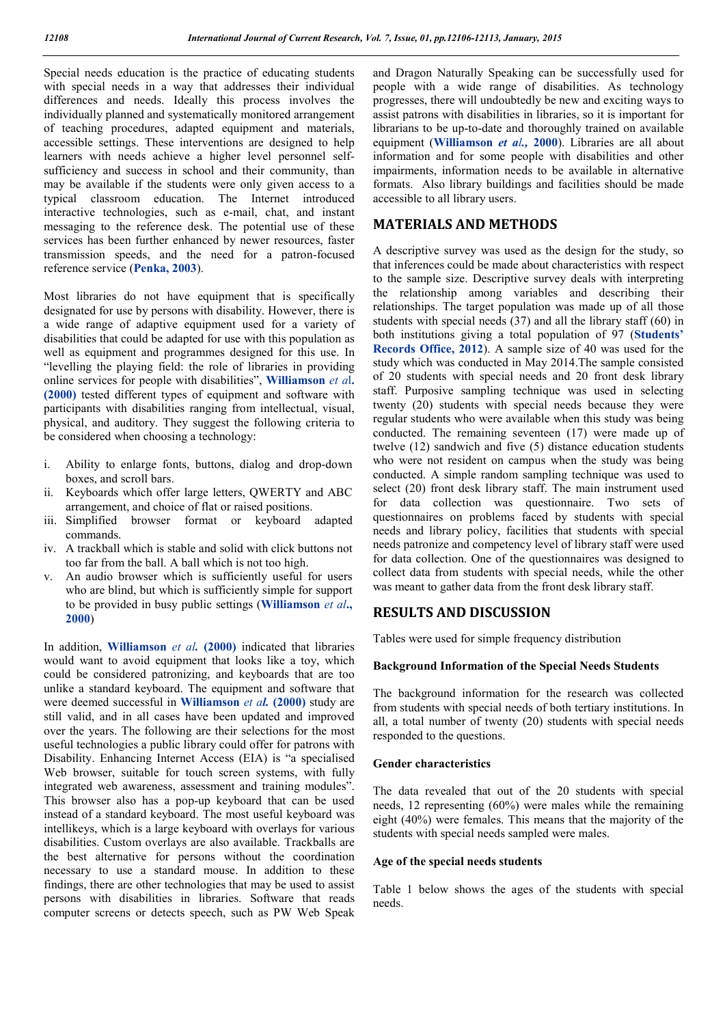Special needs education is the practice of educating students with special needs in a way that addresses their individual differences and needs. Ideally this process involves the individually planned and systematically monitored arrangement of teaching procedures, adapted equipment and materials, accessible settings. These interventions are designed to help learners with needs achieve a higher level personnel selfsufficiency and success in school and their community, than may be available if the students were only given access to a typical classroom education. The Internet introduced interactive technologies, such as e-mail, chat, and instant messaging to the reference desk. The potential use of these services has been further enhanced by newer resources, faster transmission speeds, and the need for a patron-focused reference service (**Penka, 2003**).

Most libraries do not have equipment that is specifically designated for use by persons with disability. However, there is a wide range of adaptive equipment used for a variety of disabilities that could be adapted for use with this population as well as equipment and programmes designed for this use. In "levelling the playing field: the role of libraries in providing online services for people with disabilities", **Williamson** *et a*l**. (2000)** tested different types of equipment and software with participants with disabilities ranging from intellectual, visual, physical, and auditory. They suggest the following criteria to be considered when choosing a technology:

- i. Ability to enlarge fonts, buttons, dialog and drop-down boxes, and scroll bars.
- ii. Keyboards which offer large letters, QWERTY and ABC arrangement, and choice of flat or raised positions.
- iii. Simplified browser format or keyboard adapted commands.
- iv. A trackball which is stable and solid with click buttons not too far from the ball. A ball which is not too high.
- v. An audio browser which is sufficiently useful for users who are blind, but which is sufficiently simple for support to be provided in busy public settings (**Williamson** *et al***., 2000**)

In addition, **Williamson** *et al.* **(2000)** indicated that libraries would want to avoid equipment that looks like a toy, which could be considered patronizing, and keyboards that are too unlike a standard keyboard. The equipment and software that were deemed successful in **Williamson** *et al.* **(2000)** study are still valid, and in all cases have been updated and improved over the years. The following are their selections for the most useful technologies a public library could offer for patrons with Disability. Enhancing Internet Access (EIA) is "a specialised Web browser, suitable for touch screen systems, with fully integrated web awareness, assessment and training modules". This browser also has a pop-up keyboard that can be used instead of a standard keyboard. The most useful keyboard was intellikeys, which is a large keyboard with overlays for various disabilities. Custom overlays are also available. Trackballs are the best alternative for persons without the coordination necessary to use a standard mouse. In addition to these findings, there are other technologies that may be used to assist persons with disabilities in libraries. Software that reads computer screens or detects speech, such as PW Web Speak

and Dragon Naturally Speaking can be successfully used for people with a wide range of disabilities. As technology progresses, there will undoubtedly be new and exciting ways to assist patrons with disabilities in libraries, so it is important for librarians to be up-to-date and thoroughly trained on available equipment (**Williamson** *et al.,* **2000**). Libraries are all about information and for some people with disabilities and other impairments, information needs to be available in alternative formats. Also library buildings and facilities should be made accessible to all library users.

# **MATERIALS AND METHODS**

A descriptive survey was used as the design for the study, so that inferences could be made about characteristics with respect to the sample size. Descriptive survey deals with interpreting the relationship among variables and describing their relationships. The target population was made up of all those students with special needs (37) and all the library staff (60) in both institutions giving a total population of 97 (**Students' Records Office, 2012**). A sample size of 40 was used for the study which was conducted in May 2014.The sample consisted of 20 students with special needs and 20 front desk library staff. Purposive sampling technique was used in selecting twenty (20) students with special needs because they were regular students who were available when this study was being conducted. The remaining seventeen (17) were made up of twelve (12) sandwich and five (5) distance education students who were not resident on campus when the study was being conducted. A simple random sampling technique was used to select (20) front desk library staff. The main instrument used for data collection was questionnaire. Two sets of questionnaires on problems faced by students with special needs and library policy, facilities that students with special needs patronize and competency level of library staff were used for data collection. One of the questionnaires was designed to collect data from students with special needs, while the other was meant to gather data from the front desk library staff.

# **RESULTS AND DISCUSSION**

Tables were used for simple frequency distribution

#### **Background Information of the Special Needs Students**

The background information for the research was collected from students with special needs of both tertiary institutions. In all, a total number of twenty (20) students with special needs responded to the questions.

#### **Gender characteristics**

The data revealed that out of the 20 students with special needs, 12 representing (60%) were males while the remaining eight (40%) were females. This means that the majority of the students with special needs sampled were males.

#### **Age of the special needs students**

Table 1 below shows the ages of the students with special needs.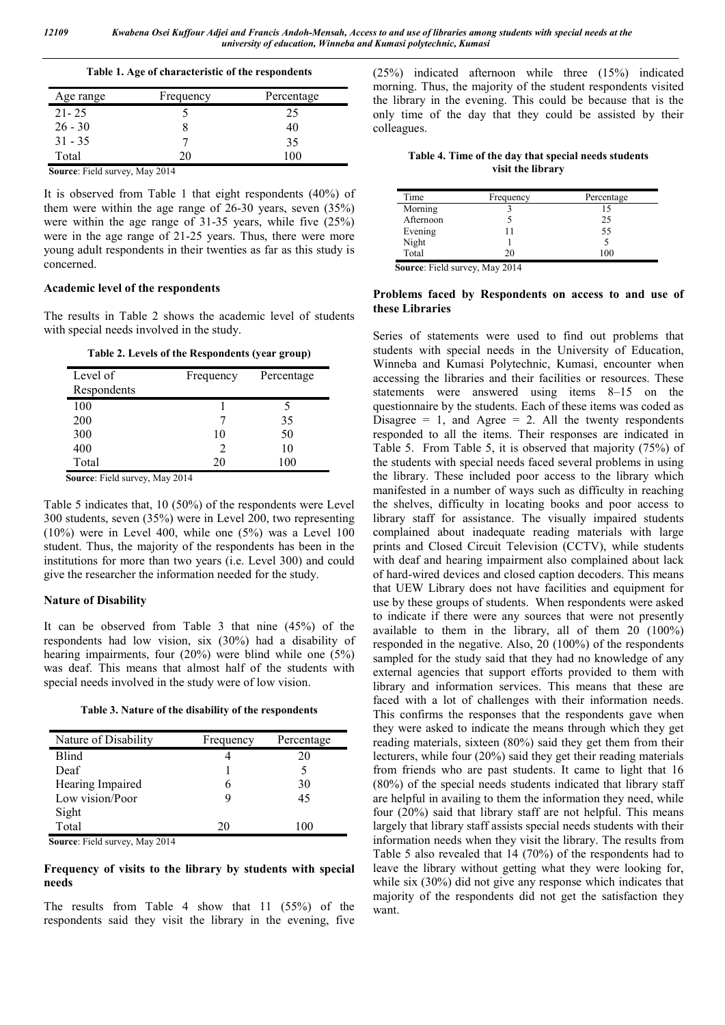| Age range | Frequency | Percentage |
|-----------|-----------|------------|
| $21 - 25$ |           | 25         |
| $26 - 30$ |           | 40         |
| $31 - 35$ |           | 35         |
| Total     | 20        | 100        |

 **Source**: Field survey, May 2014

It is observed from Table 1 that eight respondents (40%) of them were within the age range of 26-30 years, seven (35%) were within the age range of 31-35 years, while five (25%) were in the age range of 21-25 years. Thus, there were more young adult respondents in their twenties as far as this study is concerned.

# **Academic level of the respondents**

The results in Table 2 shows the academic level of students with special needs involved in the study.

| Table 2. Levels of the Respondents (year group) |  |  |  |  |
|-------------------------------------------------|--|--|--|--|
|-------------------------------------------------|--|--|--|--|

| Level of<br>Respondents | Frequency | Percentage |
|-------------------------|-----------|------------|
| 100                     |           |            |
| 200                     |           | 35         |
| 300                     | 10        | 50         |
| 400                     |           | 10         |
| Total                   | 20        | 100        |

 **Source**: Field survey, May 2014

Table 5 indicates that, 10 (50%) of the respondents were Level 300 students, seven (35%) were in Level 200, two representing  $(10\%)$  were in Level 400, while one  $(5\%)$  was a Level 100 student. Thus, the majority of the respondents has been in the institutions for more than two years (i.e. Level 300) and could give the researcher the information needed for the study.

#### **Nature of Disability**

It can be observed from Table 3 that nine (45%) of the respondents had low vision, six (30%) had a disability of hearing impairments, four (20%) were blind while one (5%) was deaf. This means that almost half of the students with special needs involved in the study were of low vision.

**Table 3. Nature of the disability of the respondents**

| Nature of Disability | Frequency | Percentage |
|----------------------|-----------|------------|
| Blind                |           | 20         |
| Deaf                 |           |            |
| Hearing Impaired     | h         | 30         |
| Low vision/Poor      | q         | 45         |
| Sight                |           |            |
| Total                | 20        | 100        |

 **Source**: Field survey, May 2014

## **Frequency of visits to the library by students with special needs**

The results from Table 4 show that 11 (55%) of the respondents said they visit the library in the evening, five (25%) indicated afternoon while three (15%) indicated morning. Thus, the majority of the student respondents visited the library in the evening. This could be because that is the only time of the day that they could be assisted by their colleagues.

**Table 4. Time of the day that special needs students visit the library**

| Time      | Frequency | Percentage |
|-----------|-----------|------------|
| Morning   |           | 15         |
| Afternoon |           | 25         |
| Evening   |           | 55         |
| Night     |           |            |
| Total     |           |            |

 **Source**: Field survey, May 2014

### **Problems faced by Respondents on access to and use of these Libraries**

Series of statements were used to find out problems that students with special needs in the University of Education, Winneba and Kumasi Polytechnic, Kumasi, encounter when accessing the libraries and their facilities or resources. These statements were answered using items 8–15 on the questionnaire by the students. Each of these items was coded as Disagree  $= 1$ , and Agree  $= 2$ . All the twenty respondents responded to all the items. Their responses are indicated in Table 5. From Table 5, it is observed that majority (75%) of the students with special needs faced several problems in using the library. These included poor access to the library which manifested in a number of ways such as difficulty in reaching the shelves, difficulty in locating books and poor access to library staff for assistance. The visually impaired students complained about inadequate reading materials with large prints and Closed Circuit Television (CCTV), while students with deaf and hearing impairment also complained about lack of hard-wired devices and closed caption decoders. This means that UEW Library does not have facilities and equipment for use by these groups of students. When respondents were asked to indicate if there were any sources that were not presently available to them in the library, all of them 20 (100%) responded in the negative. Also, 20 (100%) of the respondents sampled for the study said that they had no knowledge of any external agencies that support efforts provided to them with library and information services. This means that these are faced with a lot of challenges with their information needs. This confirms the responses that the respondents gave when they were asked to indicate the means through which they get reading materials, sixteen (80%) said they get them from their lecturers, while four (20%) said they get their reading materials from friends who are past students. It came to light that 16 (80%) of the special needs students indicated that library staff are helpful in availing to them the information they need, while four (20%) said that library staff are not helpful. This means largely that library staff assists special needs students with their information needs when they visit the library. The results from Table 5 also revealed that 14 (70%) of the respondents had to leave the library without getting what they were looking for, while six (30%) did not give any response which indicates that majority of the respondents did not get the satisfaction they want.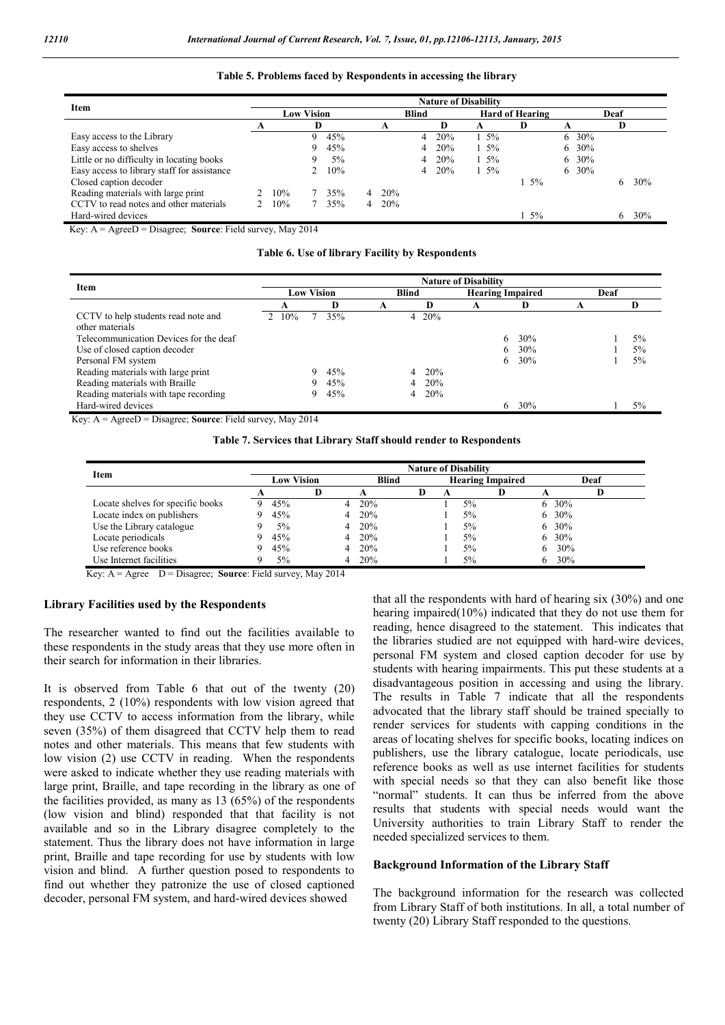### **Table 5. Problems faced by Respondents in accessing the library**

| Item                                                                                               | <b>Nature of Disability</b> |     |    |     |  |               |   |     |                        |         |    |       |    |     |
|----------------------------------------------------------------------------------------------------|-----------------------------|-----|----|-----|--|---------------|---|-----|------------------------|---------|----|-------|----|-----|
|                                                                                                    | <b>Low Vision</b>           |     |    |     |  | <b>Blind</b>  |   |     | <b>Hard of Hearing</b> |         |    | Deaf  |    |     |
|                                                                                                    |                             |     |    |     |  | A             |   | IJ  | A                      |         |    |       |    |     |
| Easy access to the Library                                                                         |                             |     | Q  | 45% |  |               | 4 | 20% | $1.5\%$                |         | 6. | 30%   |    |     |
| Easy access to shelves                                                                             |                             |     | 9. | 45% |  |               | 4 | 20% | $1.5\%$                |         | 6. | 30%   |    |     |
| Little or no difficulty in locating books                                                          |                             |     | 9  | 5%  |  |               | 4 | 20% | $1.5\%$                |         | 6. | 30%   |    |     |
| Easy access to library staff for assistance                                                        |                             |     |    | 10% |  |               | 4 | 20% | $1.5\%$                |         |    | 6 30% |    |     |
| Closed caption decoder                                                                             |                             |     |    |     |  |               |   |     |                        | $1.5\%$ |    |       | 6. | 30% |
| Reading materials with large print                                                                 |                             | 10% |    | 35% |  | $4\quad 20\%$ |   |     |                        |         |    |       |    |     |
| CCTV to read notes and other materials                                                             |                             | 10% |    | 35% |  | $4\quad 20\%$ |   |     |                        |         |    |       |    |     |
| Hard-wired devices                                                                                 |                             |     |    |     |  |               |   |     |                        | $1.5\%$ |    |       | 6. | 30% |
| $V \sim \lambda = \lambda \sim \mathcal{D} = \mathcal{D}$ is seen for Field symmetry $M \sim 2014$ |                             |     |    |     |  |               |   |     |                        |         |    |       |    |     |

Key: A = AgreeD = Disagree; **Source**: Field survey, May 2014

**Table 6. Use of library Facility by Respondents**

|                                                        | <b>Nature of Disability</b> |                   |     |   |              |       |   |                         |     |   |      |       |
|--------------------------------------------------------|-----------------------------|-------------------|-----|---|--------------|-------|---|-------------------------|-----|---|------|-------|
| Item                                                   |                             | <b>Low Vision</b> |     |   | <b>Blind</b> |       |   | <b>Hearing Impaired</b> |     |   | Deaf |       |
|                                                        | A                           |                   | Ð   | A |              | D     | A |                         | D   | A |      |       |
| CCTV to help students read note and<br>other materials | 10%                         |                   | 35% |   |              | 4 20% |   |                         |     |   |      |       |
| Telecommunication Devices for the deaf                 |                             |                   |     |   |              |       |   | 6.                      | 30% |   |      | $5\%$ |
| Use of closed caption decoder                          |                             |                   |     |   |              |       |   | 6.                      | 30% |   |      | 5%    |
| Personal FM system                                     |                             |                   |     |   |              |       |   | 6.                      | 30% |   |      | 5%    |
| Reading materials with large print                     |                             | 9                 | 45% |   | 4            | 20%   |   |                         |     |   |      |       |
| Reading materials with Braille                         |                             | 9                 | 45% |   | 4            | 20%   |   |                         |     |   |      |       |
| Reading materials with tape recording                  |                             | 9.                | 45% |   | 4            | 20%   |   |                         |     |   |      |       |
| Hard-wired devices                                     |                             |                   |     |   |              |       |   | 6                       | 30% |   |      | $5\%$ |

Key: A = AgreeD = Disagree; **Source**: Field survey, May 2014

**Table 7. Services that Library Staff should render to Respondents**

| Item                              |                   |   |   |              |   |   | <b>Nature of Disability</b> |   |      |
|-----------------------------------|-------------------|---|---|--------------|---|---|-----------------------------|---|------|
|                                   | <b>Low Vision</b> |   |   | <b>Blind</b> |   |   | <b>Hearing Impaired</b>     |   | Deaf |
|                                   |                   | D |   |              | Ð | A | D                           |   |      |
| Locate shelves for specific books | 45%               |   | 4 | 20%          |   |   | 5%                          | 6 | 30%  |
| Locate index on publishers        | 45%               |   | 4 | 20%          |   |   | 5%                          | 6 | 30%  |
| Use the Library catalogue         | 5%                |   | 4 | 20%          |   |   | 5%                          | 6 | 30%  |
| Locate periodicals                | 45%               |   | 4 | 20%          |   |   | 5%                          | 6 | 30%  |
| Use reference books               | 45%               |   | 4 | 20%          |   |   | 5%                          |   | 30%  |
| Use Internet facilities           | 5%                |   |   | 20%          |   |   | 5%                          |   | 30%  |

Key:  $A = \text{Agree}$   $D = \text{Disagree}$ ; **Source**: Field survey, May 2014

#### **Library Facilities used by the Respondents**

The researcher wanted to find out the facilities available to these respondents in the study areas that they use more often in their search for information in their libraries.

It is observed from Table 6 that out of the twenty (20) respondents, 2 (10%) respondents with low vision agreed that they use CCTV to access information from the library, while seven (35%) of them disagreed that CCTV help them to read notes and other materials. This means that few students with low vision (2) use CCTV in reading. When the respondents were asked to indicate whether they use reading materials with large print, Braille, and tape recording in the library as one of the facilities provided, as many as 13 (65%) of the respondents (low vision and blind) responded that that facility is not available and so in the Library disagree completely to the statement. Thus the library does not have information in large print, Braille and tape recording for use by students with low vision and blind. A further question posed to respondents to find out whether they patronize the use of closed captioned decoder, personal FM system, and hard-wired devices showed

that all the respondents with hard of hearing six (30%) and one hearing impaired(10%) indicated that they do not use them for reading, hence disagreed to the statement. This indicates that the libraries studied are not equipped with hard-wire devices, personal FM system and closed caption decoder for use by students with hearing impairments. This put these students at a disadvantageous position in accessing and using the library. The results in Table 7 indicate that all the respondents advocated that the library staff should be trained specially to render services for students with capping conditions in the areas of locating shelves for specific books, locating indices on publishers, use the library catalogue, locate periodicals, use reference books as well as use internet facilities for students with special needs so that they can also benefit like those "normal" students. It can thus be inferred from the above results that students with special needs would want the University authorities to train Library Staff to render the needed specialized services to them.

#### **Background Information of the Library Staff**

The background information for the research was collected from Library Staff of both institutions. In all, a total number of twenty (20) Library Staff responded to the questions.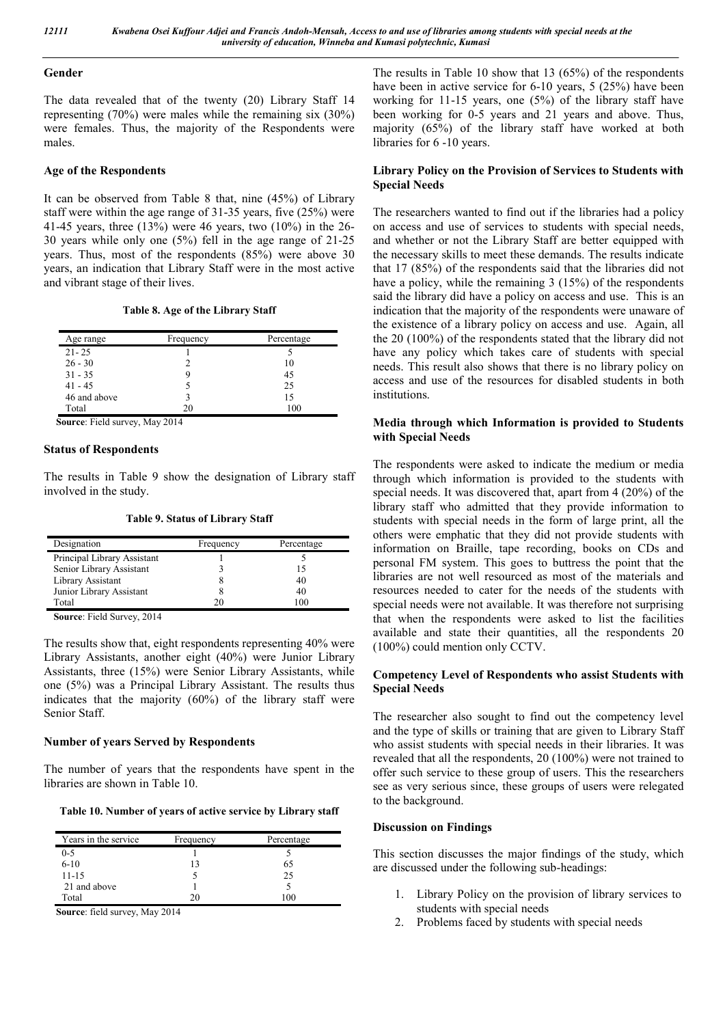#### **Gender**

The data revealed that of the twenty (20) Library Staff 14 representing (70%) were males while the remaining six (30%) were females. Thus, the majority of the Respondents were males.

# **Age of the Respondents**

It can be observed from Table 8 that, nine (45%) of Library staff were within the age range of 31-35 years, five (25%) were 41-45 years, three (13%) were 46 years, two (10%) in the 26- 30 years while only one (5%) fell in the age range of 21-25 years. Thus, most of the respondents (85%) were above 30 years, an indication that Library Staff were in the most active and vibrant stage of their lives.

#### **Table 8. Age of the Library Staff**

| Age range    | Frequency | Percentage |
|--------------|-----------|------------|
| $21 - 25$    |           |            |
| $26 - 30$    |           | 10         |
| $31 - 35$    | ч         | 45         |
| $41 - 45$    |           | 25         |
| 46 and above |           | 15         |
| Total        | 20        | 100        |

 **Source**: Field survey, May 2014

### **Status of Respondents**

The results in Table 9 show the designation of Library staff involved in the study.

|  |  | <b>Table 9. Status of Library Staff</b> |  |
|--|--|-----------------------------------------|--|
|--|--|-----------------------------------------|--|

| Designation                 | Frequency | Percentage |
|-----------------------------|-----------|------------|
| Principal Library Assistant |           |            |
| Senior Library Assistant    |           | ר ו        |
| Library Assistant           |           | 40         |
| Junior Library Assistant    |           | 40         |
| Total                       |           | 100        |

 **Source**: Field Survey, 2014

The results show that, eight respondents representing 40% were Library Assistants, another eight (40%) were Junior Library Assistants, three (15%) were Senior Library Assistants, while one (5%) was a Principal Library Assistant. The results thus indicates that the majority (60%) of the library staff were Senior Staff.

# **Number of years Served by Respondents**

The number of years that the respondents have spent in the libraries are shown in Table 10.

**Table 10. Number of years of active service by Library staff**

| Years in the service | Frequency | Percentage |
|----------------------|-----------|------------|
| $0 - 5$              |           |            |
| $6 - 10$             | 13        | 65         |
| $11 - 15$            |           | 25         |
| 21 and above         |           |            |
| Total                | 20        | 100        |

 **Source**: field survey, May 2014

The results in Table 10 show that 13 (65%) of the respondents have been in active service for 6-10 years, 5 (25%) have been working for 11-15 years, one (5%) of the library staff have been working for 0-5 years and 21 years and above. Thus, majority (65%) of the library staff have worked at both libraries for 6 -10 years.

# **Library Policy on the Provision of Services to Students with Special Needs**

The researchers wanted to find out if the libraries had a policy on access and use of services to students with special needs, and whether or not the Library Staff are better equipped with the necessary skills to meet these demands. The results indicate that 17 (85%) of the respondents said that the libraries did not have a policy, while the remaining 3 (15%) of the respondents said the library did have a policy on access and use. This is an indication that the majority of the respondents were unaware of the existence of a library policy on access and use. Again, all the 20 (100%) of the respondents stated that the library did not have any policy which takes care of students with special needs. This result also shows that there is no library policy on access and use of the resources for disabled students in both institutions.

### **Media through which Information is provided to Students with Special Needs**

The respondents were asked to indicate the medium or media through which information is provided to the students with special needs. It was discovered that, apart from 4 (20%) of the library staff who admitted that they provide information to students with special needs in the form of large print, all the others were emphatic that they did not provide students with information on Braille, tape recording, books on CDs and personal FM system. This goes to buttress the point that the libraries are not well resourced as most of the materials and resources needed to cater for the needs of the students with special needs were not available. It was therefore not surprising that when the respondents were asked to list the facilities available and state their quantities, all the respondents 20 (100%) could mention only CCTV.

### **Competency Level of Respondents who assist Students with Special Needs**

The researcher also sought to find out the competency level and the type of skills or training that are given to Library Staff who assist students with special needs in their libraries. It was revealed that all the respondents, 20 (100%) were not trained to offer such service to these group of users. This the researchers see as very serious since, these groups of users were relegated to the background.

#### **Discussion on Findings**

This section discusses the major findings of the study, which are discussed under the following sub-headings:

- 1. Library Policy on the provision of library services to students with special needs
- 2. Problems faced by students with special needs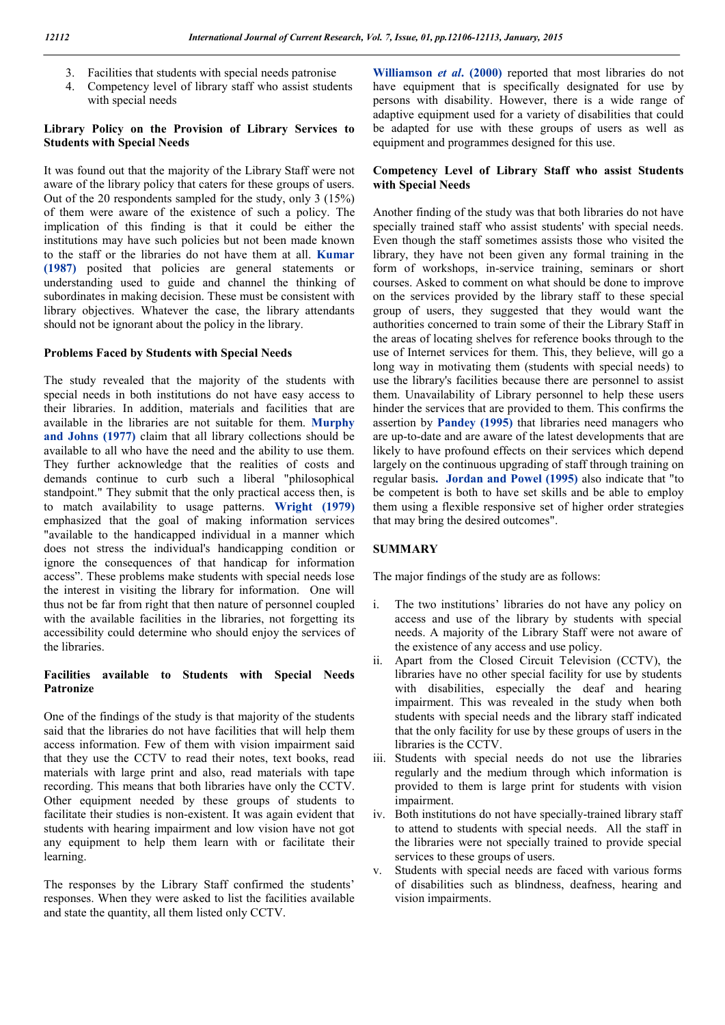- 3. Facilities that students with special needs patronise
- 4. Competency level of library staff who assist students with special needs

#### **Library Policy on the Provision of Library Services to Students with Special Needs**

It was found out that the majority of the Library Staff were not aware of the library policy that caters for these groups of users. Out of the 20 respondents sampled for the study, only 3 (15%) of them were aware of the existence of such a policy. The implication of this finding is that it could be either the institutions may have such policies but not been made known to the staff or the libraries do not have them at all. **Kumar (1987)** posited that policies are general statements or understanding used to guide and channel the thinking of subordinates in making decision. These must be consistent with library objectives. Whatever the case, the library attendants should not be ignorant about the policy in the library.

# **Problems Faced by Students with Special Needs**

The study revealed that the majority of the students with special needs in both institutions do not have easy access to their libraries. In addition, materials and facilities that are available in the libraries are not suitable for them. **Murphy and Johns (1977)** claim that all library collections should be available to all who have the need and the ability to use them. They further acknowledge that the realities of costs and demands continue to curb such a liberal "philosophical standpoint." They submit that the only practical access then, is to match availability to usage patterns. **Wright (1979)** emphasized that the goal of making information services "available to the handicapped individual in a manner which does not stress the individual's handicapping condition or ignore the consequences of that handicap for information access". These problems make students with special needs lose the interest in visiting the library for information. One will thus not be far from right that then nature of personnel coupled with the available facilities in the libraries, not forgetting its accessibility could determine who should enjoy the services of the libraries.

# **Facilities available to Students with Special Needs Patronize**

One of the findings of the study is that majority of the students said that the libraries do not have facilities that will help them access information. Few of them with vision impairment said that they use the CCTV to read their notes, text books, read materials with large print and also, read materials with tape recording. This means that both libraries have only the CCTV. Other equipment needed by these groups of students to facilitate their studies is non-existent. It was again evident that students with hearing impairment and low vision have not got any equipment to help them learn with or facilitate their learning.

The responses by the Library Staff confirmed the students' responses. When they were asked to list the facilities available and state the quantity, all them listed only CCTV.

**Williamson** *et al***. (2000)** reported that most libraries do not have equipment that is specifically designated for use by persons with disability. However, there is a wide range of adaptive equipment used for a variety of disabilities that could be adapted for use with these groups of users as well as equipment and programmes designed for this use.

## **Competency Level of Library Staff who assist Students with Special Needs**

Another finding of the study was that both libraries do not have specially trained staff who assist students' with special needs. Even though the staff sometimes assists those who visited the library, they have not been given any formal training in the form of workshops, in-service training, seminars or short courses. Asked to comment on what should be done to improve on the services provided by the library staff to these special group of users, they suggested that they would want the authorities concerned to train some of their the Library Staff in the areas of locating shelves for reference books through to the use of Internet services for them. This, they believe, will go a long way in motivating them (students with special needs) to use the library's facilities because there are personnel to assist them. Unavailability of Library personnel to help these users hinder the services that are provided to them. This confirms the assertion by **Pandey (1995)** that libraries need managers who are up-to-date and are aware of the latest developments that are likely to have profound effects on their services which depend largely on the continuous upgrading of staff through training on regular basis**. Jordan and Powel (1995)** also indicate that "to be competent is both to have set skills and be able to employ them using a flexible responsive set of higher order strategies that may bring the desired outcomes".

# **SUMMARY**

The major findings of the study are as follows:

- i. The two institutions' libraries do not have any policy on access and use of the library by students with special needs. A majority of the Library Staff were not aware of the existence of any access and use policy.
- ii. Apart from the Closed Circuit Television (CCTV), the libraries have no other special facility for use by students with disabilities, especially the deaf and hearing impairment. This was revealed in the study when both students with special needs and the library staff indicated that the only facility for use by these groups of users in the libraries is the CCTV.
- iii. Students with special needs do not use the libraries regularly and the medium through which information is provided to them is large print for students with vision impairment.
- iv. Both institutions do not have specially-trained library staff to attend to students with special needs. All the staff in the libraries were not specially trained to provide special services to these groups of users.
- Students with special needs are faced with various forms of disabilities such as blindness, deafness, hearing and vision impairments.